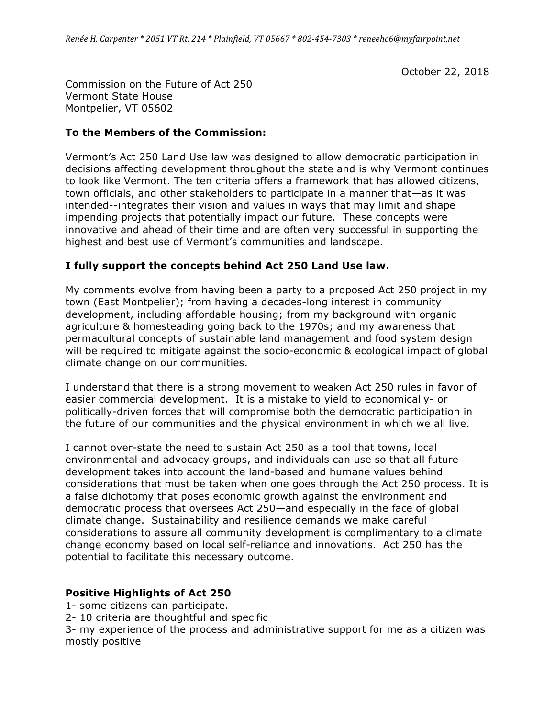October 22, 2018

Commission on the Future of Act 250 Vermont State House Montpelier, VT 05602

### **To the Members of the Commission:**

Vermont's Act 250 Land Use law was designed to allow democratic participation in decisions affecting development throughout the state and is why Vermont continues to look like Vermont. The ten criteria offers a framework that has allowed citizens, town officials, and other stakeholders to participate in a manner that—as it was intended--integrates their vision and values in ways that may limit and shape impending projects that potentially impact our future. These concepts were innovative and ahead of their time and are often very successful in supporting the highest and best use of Vermont's communities and landscape.

### **I fully support the concepts behind Act 250 Land Use law.**

My comments evolve from having been a party to a proposed Act 250 project in my town (East Montpelier); from having a decades-long interest in community development, including affordable housing; from my background with organic agriculture & homesteading going back to the 1970s; and my awareness that permacultural concepts of sustainable land management and food system design will be required to mitigate against the socio-economic & ecological impact of global climate change on our communities.

I understand that there is a strong movement to weaken Act 250 rules in favor of easier commercial development. It is a mistake to yield to economically- or politically-driven forces that will compromise both the democratic participation in the future of our communities and the physical environment in which we all live.

I cannot over-state the need to sustain Act 250 as a tool that towns, local environmental and advocacy groups, and individuals can use so that all future development takes into account the land-based and humane values behind considerations that must be taken when one goes through the Act 250 process. It is a false dichotomy that poses economic growth against the environment and democratic process that oversees Act 250—and especially in the face of global climate change. Sustainability and resilience demands we make careful considerations to assure all community development is complimentary to a climate change economy based on local self-reliance and innovations. Act 250 has the potential to facilitate this necessary outcome.

### **Positive Highlights of Act 250**

- 1- some citizens can participate.
- 2- 10 criteria are thoughtful and specific

3- my experience of the process and administrative support for me as a citizen was mostly positive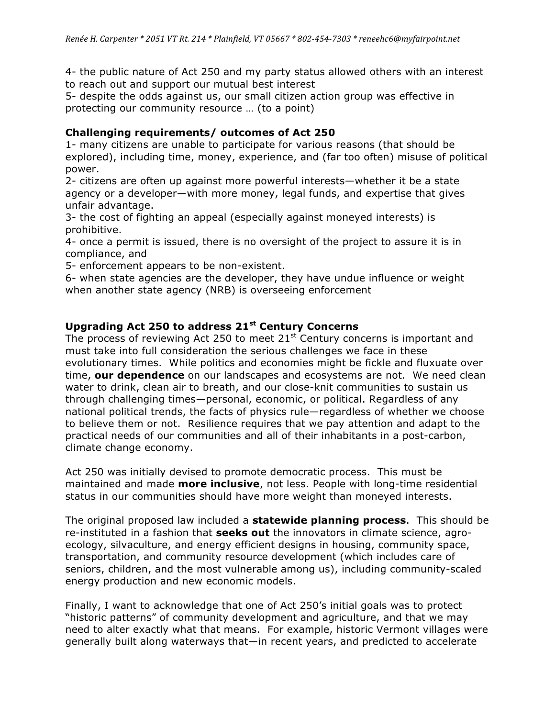4- the public nature of Act 250 and my party status allowed others with an interest to reach out and support our mutual best interest

5- despite the odds against us, our small citizen action group was effective in protecting our community resource … (to a point)

## **Challenging requirements/ outcomes of Act 250**

1- many citizens are unable to participate for various reasons (that should be explored), including time, money, experience, and (far too often) misuse of political power.

2- citizens are often up against more powerful interests—whether it be a state agency or a developer—with more money, legal funds, and expertise that gives unfair advantage.

3- the cost of fighting an appeal (especially against moneyed interests) is prohibitive.

4- once a permit is issued, there is no oversight of the project to assure it is in compliance, and

5- enforcement appears to be non-existent.

6- when state agencies are the developer, they have undue influence or weight when another state agency (NRB) is overseeing enforcement

# **Upgrading Act 250 to address 21st Century Concerns**

The process of reviewing Act 250 to meet  $21<sup>st</sup>$  Century concerns is important and must take into full consideration the serious challenges we face in these evolutionary times. While politics and economies might be fickle and fluxuate over time, **our dependence** on our landscapes and ecosystems are not. We need clean water to drink, clean air to breath, and our close-knit communities to sustain us through challenging times—personal, economic, or political. Regardless of any national political trends, the facts of physics rule—regardless of whether we choose to believe them or not. Resilience requires that we pay attention and adapt to the practical needs of our communities and all of their inhabitants in a post-carbon, climate change economy.

Act 250 was initially devised to promote democratic process. This must be maintained and made **more inclusive**, not less. People with long-time residential status in our communities should have more weight than moneyed interests.

The original proposed law included a **statewide planning process**. This should be re-instituted in a fashion that **seeks out** the innovators in climate science, agroecology, silvaculture, and energy efficient designs in housing, community space, transportation, and community resource development (which includes care of seniors, children, and the most vulnerable among us), including community-scaled energy production and new economic models.

Finally, I want to acknowledge that one of Act 250's initial goals was to protect "historic patterns" of community development and agriculture, and that we may need to alter exactly what that means. For example, historic Vermont villages were generally built along waterways that—in recent years, and predicted to accelerate